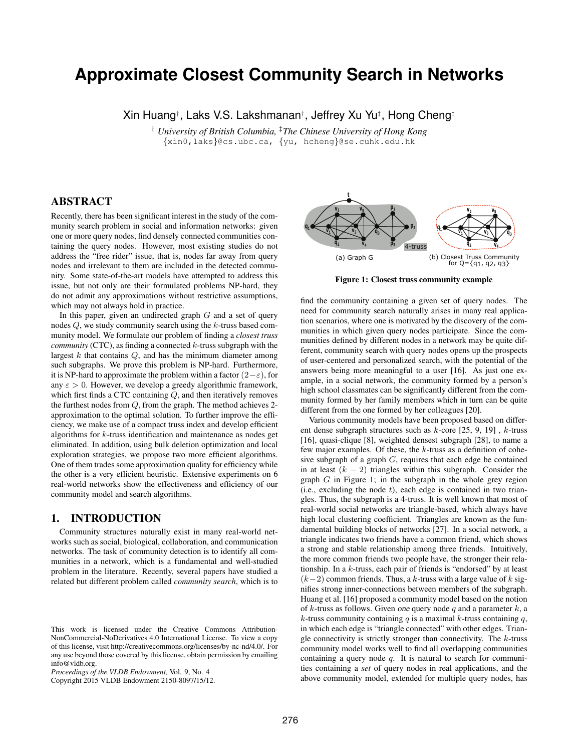# **Approximate Closest Community Search in Networks**

Xin Huang† , Laks V.S. Lakshmanan† , Jeffrey Xu Yu‡ , Hong Cheng‡

† *University of British Columbia,* ‡*The Chinese University of Hong Kong* {xin0,laks}@cs.ubc.ca, {yu, hcheng}@se.cuhk.edu.hk

# ABSTRACT

Recently, there has been significant interest in the study of the community search problem in social and information networks: given one or more query nodes, find densely connected communities containing the query nodes. However, most existing studies do not address the "free rider" issue, that is, nodes far away from query nodes and irrelevant to them are included in the detected community. Some state-of-the-art models have attempted to address this issue, but not only are their formulated problems NP-hard, they do not admit any approximations without restrictive assumptions, which may not always hold in practice.

In this paper, given an undirected graph  $G$  and a set of query nodes Q, we study community search using the k-truss based community model. We formulate our problem of finding a *closest truss community* (CTC), as finding a connected k-truss subgraph with the largest  $k$  that contains  $Q$ , and has the minimum diameter among such subgraphs. We prove this problem is NP-hard. Furthermore, it is NP-hard to approximate the problem within a factor  $(2-\varepsilon)$ , for any  $\varepsilon > 0$ . However, we develop a greedy algorithmic framework, which first finds a CTC containing Q, and then iteratively removes the furthest nodes from Q, from the graph. The method achieves 2 approximation to the optimal solution. To further improve the efficiency, we make use of a compact truss index and develop efficient algorithms for  $k$ -truss identification and maintenance as nodes get eliminated. In addition, using bulk deletion optimization and local exploration strategies, we propose two more efficient algorithms. One of them trades some approximation quality for efficiency while the other is a very efficient heuristic. Extensive experiments on 6 real-world networks show the effectiveness and efficiency of our community model and search algorithms.

# 1. INTRODUCTION

Community structures naturally exist in many real-world networks such as social, biological, collaboration, and communication networks. The task of community detection is to identify all communities in a network, which is a fundamental and well-studied problem in the literature. Recently, several papers have studied a related but different problem called *community search*, which is to

Copyright 2015 VLDB Endowment 2150-8097/15/12.



Figure 1: Closest truss community example

find the community containing a given set of query nodes. The need for community search naturally arises in many real application scenarios, where one is motivated by the discovery of the communities in which given query nodes participate. Since the communities defined by different nodes in a network may be quite different, community search with query nodes opens up the prospects of user-centered and personalized search, with the potential of the answers being more meaningful to a user [16]. As just one example, in a social network, the community formed by a person's high school classmates can be significantly different from the community formed by her family members which in turn can be quite different from the one formed by her colleagues [20].

Various community models have been proposed based on different dense subgraph structures such as k-core [25, 9, 19] , k-truss [16], quasi-clique [8], weighted densest subgraph [28], to name a few major examples. Of these, the k-truss as a definition of cohesive subgraph of a graph G, requires that each edge be contained in at least  $(k - 2)$  triangles within this subgraph. Consider the graph G in Figure 1; in the subgraph in the whole grey region (i.e., excluding the node  $t$ ), each edge is contained in two triangles. Thus, the subgraph is a 4-truss. It is well known that most of real-world social networks are triangle-based, which always have high local clustering coefficient. Triangles are known as the fundamental building blocks of networks [27]. In a social network, a triangle indicates two friends have a common friend, which shows a strong and stable relationship among three friends. Intuitively, the more common friends two people have, the stronger their relationship. In a k-truss, each pair of friends is "endorsed" by at least  $(k-2)$  common friends. Thus, a k-truss with a large value of k signifies strong inner-connections between members of the subgraph. Huang et al. [16] proposed a community model based on the notion of k-truss as follows. Given one query node q and a parameter  $k$ , a k-truss community containing q is a maximal k-truss containing  $q$ , in which each edge is "triangle connected" with other edges. Triangle connectivity is strictly stronger than connectivity. The  $k$ -truss community model works well to find all overlapping communities containing a query node  $q$ . It is natural to search for communities containing a *set* of query nodes in real applications, and the above community model, extended for multiple query nodes, has

This work is licensed under the Creative Commons Attribution-NonCommercial-NoDerivatives 4.0 International License. To view a copy of this license, visit http://creativecommons.org/licenses/by-nc-nd/4.0/. For any use beyond those covered by this license, obtain permission by emailing info@vldb.org.

*Proceedings of the VLDB Endowment,* Vol. 9, No. 4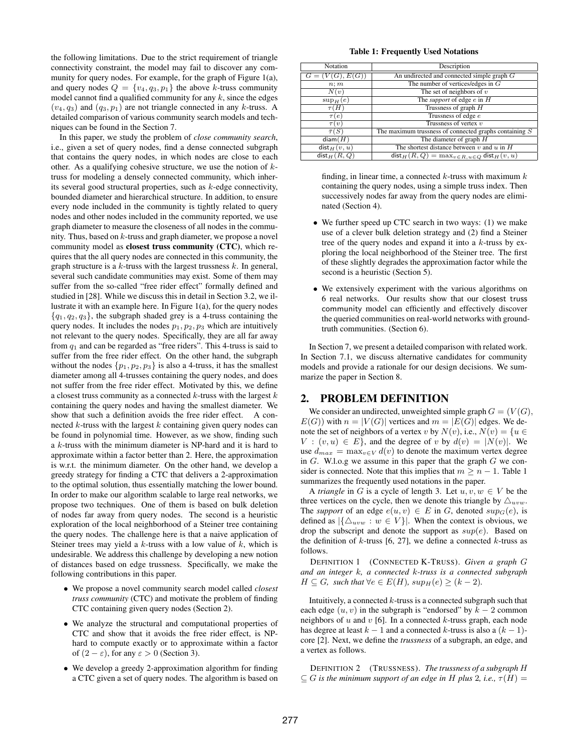the following limitations. Due to the strict requirement of triangle connectivity constraint, the model may fail to discover any community for query nodes. For example, for the graph of Figure 1(a), and query nodes  $Q = \{v_4, q_3, p_1\}$  the above k-truss community model cannot find a qualified community for any  $k$ , since the edges  $(v_4, q_3)$  and  $(q_3, p_1)$  are not triangle connected in any k-truss. A detailed comparison of various community search models and techniques can be found in the Section 7.

In this paper, we study the problem of *close community search*, i.e., given a set of query nodes, find a dense connected subgraph that contains the query nodes, in which nodes are close to each other. As a qualifying cohesive structure, we use the notion of  $k$ truss for modeling a densely connected community, which inherits several good structural properties, such as  $k$ -edge connectivity, bounded diameter and hierarchical structure. In addition, to ensure every node included in the community is tightly related to query nodes and other nodes included in the community reported, we use graph diameter to measure the closeness of all nodes in the community. Thus, based on  $k$ -truss and graph diameter, we propose a novel community model as closest truss community (CTC), which requires that the all query nodes are connected in this community, the graph structure is a  $k$ -truss with the largest trussness  $k$ . In general, several such candidate communities may exist. Some of them may suffer from the so-called "free rider effect" formally defined and studied in [28]. While we discuss this in detail in Section 3.2, we illustrate it with an example here. In Figure  $1(a)$ , for the query nodes  ${q_1, q_2, q_3}$ , the subgraph shaded grey is a 4-truss containing the query nodes. It includes the nodes  $p_1, p_2, p_3$  which are intuitively not relevant to the query nodes. Specifically, they are all far away from  $q_1$  and can be regarded as "free riders". This 4-truss is said to suffer from the free rider effect. On the other hand, the subgraph without the nodes  $\{p_1, p_2, p_3\}$  is also a 4-truss, it has the smallest diameter among all 4-trusses containing the query nodes, and does not suffer from the free rider effect. Motivated by this, we define a closest truss community as a connected  $k$ -truss with the largest  $k$ containing the query nodes and having the smallest diameter. We show that such a definition avoids the free rider effect. A connected  $k$ -truss with the largest  $k$  containing given query nodes can be found in polynomial time. However, as we show, finding such a k-truss with the minimum diameter is NP-hard and it is hard to approximate within a factor better than 2. Here, the approximation is w.r.t. the minimum diameter. On the other hand, we develop a greedy strategy for finding a CTC that delivers a 2-approximation to the optimal solution, thus essentially matching the lower bound. In order to make our algorithm scalable to large real networks, we propose two techniques. One of them is based on bulk deletion of nodes far away from query nodes. The second is a heuristic exploration of the local neighborhood of a Steiner tree containing the query nodes. The challenge here is that a naive application of Steiner trees may yield a  $k$ -truss with a low value of  $k$ , which is undesirable. We address this challenge by developing a new notion of distances based on edge trussness. Specifically, we make the following contributions in this paper.

- We propose a novel community search model called *closest truss community* (CTC) and motivate the problem of finding CTC containing given query nodes (Section 2).
- We analyze the structural and computational properties of CTC and show that it avoids the free rider effect, is NPhard to compute exactly or to approximate within a factor of  $(2 - \varepsilon)$ , for any  $\varepsilon > 0$  (Section 3).
- We develop a greedy 2-approximation algorithm for finding a CTC given a set of query nodes. The algorithm is based on

#### Table 1: Frequently Used Notations

| Notation             | Description                                              |  |  |  |
|----------------------|----------------------------------------------------------|--|--|--|
| $G = (V(G), E(G))$   | An undirected and connected simple graph $G$             |  |  |  |
| n; m                 | The number of vertices/edges in $G$                      |  |  |  |
| N(v)                 | The set of neighbors of $v$                              |  |  |  |
| $\sup_H(e)$          | The <i>support</i> of edge $e$ in $H$                    |  |  |  |
| $\tau(H)$            | Trussness of graph $H$                                   |  |  |  |
| $\tau(e)$            | Trussness of edge e                                      |  |  |  |
| $\tau(v)$            | Trussness of vertex $v$                                  |  |  |  |
| $\overline{\tau}(S)$ | The maximum trussness of connected graphs containing $S$ |  |  |  |
| diam(H)              | The diameter of graph $H$                                |  |  |  |
| $dist_H(v, u)$       | The shortest distance between $v$ and $u$ in $H$         |  |  |  |
| $dist_H(R,Q)$        | $dist_H(R,Q) = \max_{v \in R, u \in Q} dist_H(v,u)$      |  |  |  |

finding, in linear time, a connected  $k$ -truss with maximum  $k$ containing the query nodes, using a simple truss index. Then successively nodes far away from the query nodes are eliminated (Section 4).

- We further speed up CTC search in two ways: (1) we make use of a clever bulk deletion strategy and (2) find a Steiner tree of the query nodes and expand it into a  $k$ -truss by exploring the local neighborhood of the Steiner tree. The first of these slightly degrades the approximation factor while the second is a heuristic (Section 5).
- We extensively experiment with the various algorithms on 6 real networks. Our results show that our closest truss community model can efficiently and effectively discover the queried communities on real-world networks with groundtruth communities. (Section 6).

In Section 7, we present a detailed comparison with related work. In Section 7.1, we discuss alternative candidates for community models and provide a rationale for our design decisions. We summarize the paper in Section 8.

# 2. PROBLEM DEFINITION

We consider an undirected, unweighted simple graph  $G = (V(G)),$  $E(G)$ ) with  $n = |V(G)|$  vertices and  $m = |E(G)|$  edges. We denote the set of neighbors of a vertex v by  $N(v)$ , i.e.,  $N(v) = \{u \in$  $V: (v, u) \in E$ , and the degree of v by  $d(v) = |N(v)|$ . We use  $d_{max} = \max_{v \in V} d(v)$  to denote the maximum vertex degree in  $G$ . W.l.o.g we assume in this paper that the graph  $G$  we consider is connected. Note that this implies that  $m \geq n - 1$ . Table 1 summarizes the frequently used notations in the paper.

A *triangle* in G is a cycle of length 3. Let  $u, v, w \in V$  be the three vertices on the cycle, then we denote this triangle by  $\triangle_{uvw}$ . The *support* of an edge  $e(u, v) \in E$  in G, denoted  $sup_G(e)$ , is defined as  $|\{\Delta_{uvw} : w \in V\}|$ . When the context is obvious, we drop the subscript and denote the support as  $sup(e)$ . Based on the definition of  $k$ -truss [6, 27], we define a connected  $k$ -truss as follows.

DEFINITION 1 (CONNECTED K-TRUSS). *Given a graph* G *and an integer* k*, a connected* k*-truss is a connected subgraph*  $H \subseteq G$ *, such that*  $\forall e \in E(H)$ *, sup*<sub> $H(e) \geq (k-2)$ *.*</sub>

Intuitively, a connected  $k$ -truss is a connected subgraph such that each edge  $(u, v)$  in the subgraph is "endorsed" by  $k - 2$  common neighbors of  $u$  and  $v$  [6]. In a connected  $k$ -truss graph, each node has degree at least  $k - 1$  and a connected k-truss is also a  $(k - 1)$ core [2]. Next, we define the *trussness* of a subgraph, an edge, and a vertex as follows.

DEFINITION 2 (TRUSSNESS). *The trussness of a subgraph* H  $\subseteq$  *G* is the minimum support of an edge in *H* plus 2, i.e.,  $\tau$ (*H*) =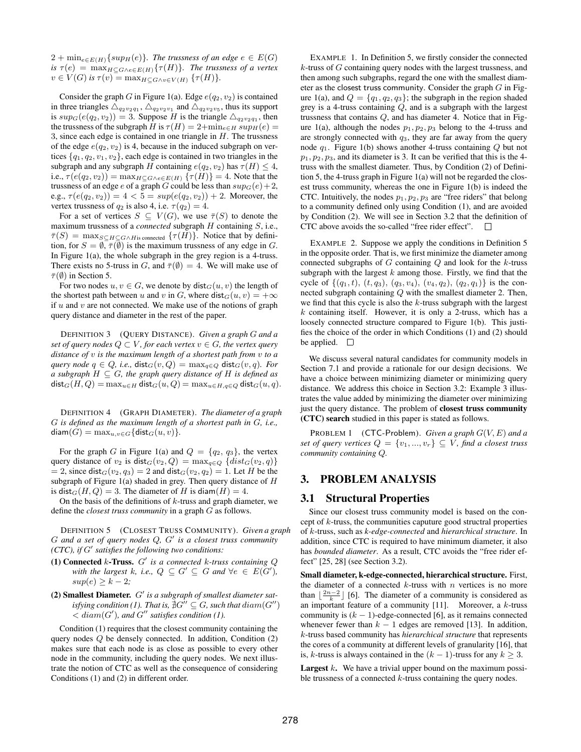$2 + \min_{e \in E(H)} \{ \sup_H(e) \}.$  The trussness of an edge  $e \in E(G)$ *is*  $\tau(e) = \max_{H \subseteq G \wedge e \in E(H)} {\{\tau(H)\}}$ *. The trussness of a vertex*  $v \in V(G)$  *is*  $\tau(v) = \max_{H \subset G \wedge v \in V(H)} \{\tau(H)\}.$ 

Consider the graph G in Figure 1(a). Edge  $e(q_2, v_2)$  is contained in three triangles  $\triangle_{q_2v_2q_1}$ ,  $\triangle_{q_2v_2v_1}$  and  $\triangle_{q_2v_2v_5}$ , thus its support is  $sup_G(e(q_2, v_2)) = 3$ . Suppose H is the triangle  $\triangle_{q_2v_2q_1}$ , then the trussness of the subgraph H is  $\tau(H) = 2 + \min_{e \in H} sup_H(e)$ 3, since each edge is contained in one triangle in  $H$ . The trussness of the edge  $e(q_2, v_2)$  is 4, because in the induced subgraph on vertices  $\{q_1, q_2, v_1, v_2\}$ , each edge is contained in two triangles in the subgraph and any subgraph H containing  $e(q_2, v_2)$  has  $\tau(H) \leq 4$ , i.e.,  $\tau(e(q_2, v_2)) = \max_{H \subseteq G \wedge e \in E(H)} \{\tau(H)\} = 4$ . Note that the trussness of an edge e of a graph G could be less than  $sup_G(e)+2$ , e.g.,  $\tau(e(q_2, v_2)) = 4 < 5 = \sup(e(q_2, v_2)) + 2$ . Moreover, the vertex trussness of  $q_2$  is also 4, i.e.  $\tau(q_2) = 4$ .

For a set of vertices  $S \subseteq V(G)$ , we use  $\overline{\tau}(S)$  to denote the maximum trussness of a *connected* subgraph H containing S, i.e.,  $\overline{\tau}(S) = \max_{S \subseteq H \subseteq G \wedge H$  is connected  $\{\tau(H)\}\$ . Notice that by definition, for  $S = \emptyset$ ,  $\bar{\tau}(\emptyset)$  is the maximum trussness of any edge in G. In Figure 1(a), the whole subgraph in the grey region is a 4-truss. There exists no 5-truss in G, and  $\overline{\tau}(\emptyset) = 4$ . We will make use of  $\bar{\tau}(\emptyset)$  in Section 5.

For two nodes  $u, v \in G$ , we denote by  $dist_G(u, v)$  the length of the shortest path between u and v in G, where  $dist_G(u, v) = +\infty$ if  $u$  and  $v$  are not connected. We make use of the notions of graph query distance and diameter in the rest of the paper.

DEFINITION 3 (QUERY DISTANCE). *Given a graph* G *and a set of query nodes*  $Q \subset V$ *, for each vertex*  $v \in G$ *, the vertex query distance of* v *is the maximum length of a shortest path from* v *to a query node*  $q \in Q$ *, i.e.,* dist $_G(v, Q) = \max_{q \in Q} \text{dist}_G(v, q)$ *. For a subgraph*  $H \subseteq G$ *, the graph query distance of*  $H$  *is defined as*  $dist_G(H, Q) = \max_{u \in H} dist_G(u, Q) = \max_{u \in H, q \in Q} dist_G(u, q).$ 

DEFINITION 4 (GRAPH DIAMETER). *The diameter of a graph* G *is defined as the maximum length of a shortest path in* G*, i.e.,*  $\textsf{diam}(G) = \max_{u,v \in G} \{\textsf{dist}_G(u,v)\}.$ 

For the graph G in Figure 1(a) and  $Q = \{q_2, q_3\}$ , the vertex query distance of  $v_2$  is dist $G(v_2, Q) = \max_{q \in Q} \{dist_G(v_2, q)\}$  $= 2$ , since dist<sub>G</sub> $(v_2, q_3) = 2$  and dist<sub>G</sub> $(v_2, q_2) = 1$ . Let H be the subgraph of Figure 1(a) shaded in grey. Then query distance of  $H$ is dist<sub>G</sub>(H, Q) = 3. The diameter of H is diam(H) = 4.

On the basis of the definitions of  $k$ -truss and graph diameter, we define the *closest truss community* in a graph G as follows.

DEFINITION 5 (CLOSEST TRUSS COMMUNITY). *Given a graph* G *and a set of query nodes* Q*,* G 0 *is a closest truss community (CTC), if* G 0 *satisfies the following two conditions:*

- $(1)$  Connected  $k$ -Truss.  $G'$  is a connected  $k$ -truss containing  $Q$ with the largest k, i.e.,  $Q \subseteq G' \subseteq G$  and  $\forall e \in E(G')$ ,  $sup(e) \geq k-2;$
- (2) Smallest Diameter. G' is a subgraph of smallest diameter satisfying condition (1). That is,  $\bar{\nexists} G^{\prime\prime} \subseteq G$ , such that  $diam(G^{\prime\prime})$  $\langle$  diam(G'), and G'' satisfies condition (1).

Condition (1) requires that the closest community containing the query nodes  $Q$  be densely connected. In addition, Condition  $(2)$ makes sure that each node is as close as possible to every other node in the community, including the query nodes. We next illustrate the notion of CTC as well as the consequence of considering Conditions (1) and (2) in different order.

EXAMPLE 1. In Definition 5, we firstly consider the connected  $k$ -truss of  $G$  containing query nodes with the largest trussness, and then among such subgraphs, regard the one with the smallest diameter as the closest truss community. Consider the graph  $G$  in Figure 1(a), and  $Q = \{q_1, q_2, q_3\}$ ; the subgraph in the region shaded grey is a 4-truss containing  $Q$ , and is a subgraph with the largest trussness that contains Q, and has diameter 4. Notice that in Figure 1(a), although the nodes  $p_1, p_2, p_3$  belong to the 4-truss and are strongly connected with  $q_3$ , they are far away from the query node  $q_1$ . Figure 1(b) shows another 4-truss containing Q but not  $p_1, p_2, p_3$ , and its diameter is 3. It can be verified that this is the 4truss with the smallest diameter. Thus, by Condition (2) of Definition 5, the 4-truss graph in Figure 1(a) will not be regarded the closest truss community, whereas the one in Figure 1(b) is indeed the CTC. Intuitively, the nodes  $p_1, p_2, p_3$  are "free riders" that belong to a community defined only using Condition (1), and are avoided by Condition (2). We will see in Section 3.2 that the definition of CTC above avoids the so-called "free rider effect".  $\Box$ 

EXAMPLE 2. Suppose we apply the conditions in Definition 5 in the opposite order. That is, we first minimize the diameter among connected subgraphs of  $G$  containing  $Q$  and look for the  $k$ -truss subgraph with the largest  $k$  among those. Firstly, we find that the cycle of  $\{(q_1, t), (t, q_3), (q_3, v_4), (v_4, q_2), (q_2, q_1)\}\$ is the connected subgraph containing Q with the smallest diameter 2. Then, we find that this cycle is also the  $k$ -truss subgraph with the largest  $k$  containing itself. However, it is only a 2-truss, which has a loosely connected structure compared to Figure 1(b). This justifies the choice of the order in which Conditions (1) and (2) should be applied.  $\square$ 

We discuss several natural candidates for community models in Section 7.1 and provide a rationale for our design decisions. We have a choice between minimizing diameter or minimizing query distance. We address this choice in Section 3.2: Example 3 illustrates the value added by minimizing the diameter over minimizing just the query distance. The problem of closest truss community (CTC) search studied in this paper is stated as follows.

PROBLEM 1 (CTC-Problem). *Given a graph* G(V, E) *and a set of query vertices*  $Q = \{v_1, ..., v_r\} \subseteq V$ *, find a closest truss community containing* Q*.*

# 3. PROBLEM ANALYSIS

## 3.1 Structural Properties

Since our closest truss community model is based on the concept of k-truss, the communities caputure good structral properties of k-truss, such as *k-edge-connected* and *hierarchical structure*. In addition, since CTC is required to have minimum diameter, it also has *bounded diameter*. As a result, CTC avoids the "free rider effect" [25, 28] (see Section 3.2).

Small diameter, k-edge-connected, hierarchical structure. First, the diameter of a connected  $k$ -truss with  $n$  vertices is no more than  $\lfloor \frac{2n-2}{k} \rfloor$  [6]. The diameter of a community is considered as an important feature of a community  $[11]$ . Moreover, a k-truss community is  $(k - 1)$ -edge-connected [6], as it remains connected whenever fewer than  $k - 1$  edges are removed [13]. In addition, k-truss based community has *hierarchical structure* that represents the cores of a community at different levels of granularity [16], that is, k-truss is always contained in the  $(k - 1)$ -truss for any  $k \geq 3$ .

**Largest**  $k$ . We have a trivial upper bound on the maximum possible trussness of a connected  $k$ -truss containing the query nodes.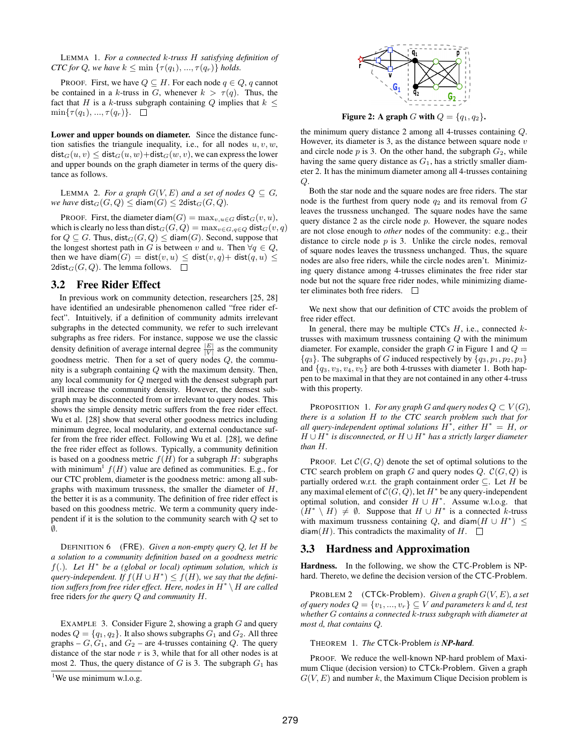LEMMA 1. *For a connected* k*-truss* H *satisfying definition of CTC for* Q, we have  $k \leq \min \{ \tau(q_1), ..., \tau(q_r) \}$  holds.

PROOF. First, we have  $Q \subseteq H$ . For each node  $q \in Q$ , q cannot be contained in a k-truss in G, whenever  $k > \tau(q)$ . Thus, the fact that H is a k-truss subgraph containing Q implies that  $k \leq$  $\min\{\tau(q_1), ..., \tau(q_r)\}. \quad \Box$ 

Lower and upper bounds on diameter. Since the distance function satisfies the triangule inequality, i.e., for all nodes  $u, v, w$ ,  $dist_G(u, v) \leq dist_G(u, w) + dist_G(w, v)$ , we can express the lower and upper bounds on the graph diameter in terms of the query distance as follows.

LEMMA 2. For a graph  $G(V, E)$  and a set of nodes  $Q \subseteq G$ , *we have*  $\textsf{dist}_G(G, Q) \leq \textsf{diam}(G) \leq 2\textsf{dist}_G(G, Q)$ .

PROOF. First, the diameter diam(G) =  $\max_{v, u \in G}$  dist $_G(v, u)$ , which is clearly no less than dist $_G(G, Q) = \max_{v \in G, q \in Q} \text{dist}_G(v, q)$ for  $Q \subseteq G$ . Thus,  $dist_G(G, Q) \leq diam(G)$ . Second, suppose that the longest shortest path in G is between v and u. Then  $\forall q \in Q$ , then we have diam(G) = dist(v, u)  $\leq$  dist(v, q)+ dist(q, u)  $\leq$ 2dist<sub>G</sub> $(G, Q)$ . The lemma follows.  $\Box$ 

## 3.2 Free Rider Effect

In previous work on community detection, researchers [25, 28] have identified an undesirable phenomenon called "free rider effect". Intuitively, if a definition of community admits irrelevant subgraphs in the detected community, we refer to such irrelevant subgraphs as free riders. For instance, suppose we use the classic density definition of average internal degree  $\frac{|E|}{|V|}$  as the community goodness metric. Then for a set of query nodes  $Q$ , the community is a subgraph containing  $Q$  with the maximum density. Then, any local community for Q merged with the densest subgraph part will increase the community density. However, the densest subgraph may be disconnected from or irrelevant to query nodes. This shows the simple density metric suffers from the free rider effect. Wu et al. [28] show that several other goodness metrics including minimum degree, local modularity, and external conductance suffer from the free rider effect. Following Wu et al. [28], we define the free rider effect as follows. Typically, a community definition is based on a goodness metric  $f(H)$  for a subgraph  $H$ : subgraphs with minimum<sup>1</sup>  $f(H)$  value are defined as communities. E.g., for our CTC problem, diameter is the goodness metric: among all subgraphs with maximum trussness, the smaller the diameter of  $H$ , the better it is as a community. The definition of free rider effect is based on this goodness metric. We term a community query independent if it is the solution to the community search with Q set to ∅.

DEFINITION 6 (FRE). *Given a non-empty query* Q*, let* H *be a solution to a community definition based on a goodness metric* f(.)*. Let* H<sup>∗</sup> *be a (global or local) optimum solution, which is*  $query$ -independent. If  $f(H \cup H^*) \leq f(H)$ , we say that the defini*tion suffers from free rider effect. Here, nodes in* H<sup>∗</sup> \H *are called* free riders *for the query* Q *and community* H*.*

EXAMPLE 3. Consider Figure 2, showing a graph  $G$  and query nodes  $Q = \{q_1, q_2\}$ . It also shows subgraphs  $G_1$  and  $G_2$ . All three graphs –  $G, G_1$ , and  $G_2$  – are 4-trusses containing Q. The query distance of the star node  $r$  is 3, while that for all other nodes is at most 2. Thus, the query distance of  $G$  is 3. The subgraph  $G_1$  has



Figure 2: A graph G with  $Q = \{q_1, q_2\}.$ 

the minimum query distance 2 among all 4-trusses containing Q. However, its diameter is 3, as the distance between square node  $v$ and circle node  $p$  is 3. On the other hand, the subgraph  $G_2$ , while having the same query distance as  $G_1$ , has a strictly smaller diameter 2. It has the minimum diameter among all 4-trusses containing  $Q$ .

Both the star node and the square nodes are free riders. The star node is the furthest from query node  $q_2$  and its removal from  $G$ leaves the trussness unchanged. The square nodes have the same query distance 2 as the circle node  $p$ . However, the square nodes are not close enough to *other* nodes of the community: e.g., their distance to circle node  $p$  is 3. Unlike the circle nodes, removal of square nodes leaves the trussness unchanged. Thus, the square nodes are also free riders, while the circle nodes aren't. Minimizing query distance among 4-trusses eliminates the free rider star node but not the square free rider nodes, while minimizing diameter eliminates both free riders.

We next show that our definition of CTC avoids the problem of free rider effect.

In general, there may be multiple CTCs  $H$ , i.e., connected  $k$ trusses with maximum trussness containing  $Q$  with the minimum diameter. For example, consider the graph  $G$  in Figure 1 and  $Q =$  ${q_3}$ . The subgraphs of G induced respectively by  ${q_3, p_1, p_2, p_3}$ and  ${q_3, v_3, v_4, v_5}$  are both 4-trusses with diameter 1. Both happen to be maximal in that they are not contained in any other 4-truss with this property.

PROPOSITION 1. *For any graph* G *and query nodes*  $Q \subset V(G)$ *, there is a solution* H *to the CTC search problem such that for all query-independent optimal solutions* H<sup>∗</sup> *, either* H<sup>∗</sup> = H*, or* H ∪ H<sup>∗</sup> *is disconnected, or* H ∪ H<sup>∗</sup> *has a strictly larger diameter than* H*.*

PROOF. Let  $\mathcal{C}(G, Q)$  denote the set of optimal solutions to the CTC search problem on graph G and query nodes  $Q$ .  $\mathcal{C}(G, Q)$  is partially ordered w.r.t. the graph containment order  $\subseteq$ . Let H be any maximal element of  $\mathcal{C}(G,\tilde{\mathcal{Q}})$ , let  $H^*$  be any query-independent optimal solution, and consider  $H \cup H^*$ . Assume w.l.o.g. that  $(H^* \setminus H) \neq \emptyset$ . Suppose that  $H \cup H^*$  is a connected k-truss with maximum trussness containing Q, and diam $(H \cup H^*)$   $\leq$ diam(H). This contradicts the maximality of H.  $\Box$ 

## 3.3 Hardness and Approximation

Hardness. In the following, we show the CTC-Problem is NPhard. Thereto, we define the decision version of the CTC-Problem.

PROBLEM 2 (CTCk-Problem). *Given a graph* G(V, E)*, a set of query nodes*  $Q = \{v_1, ..., v_r\} \subseteq V$  *and parameters k and d, test whether* G *contains a connected* k*-truss subgraph with diameter at most* d*, that contains* Q*.*

THEOREM 1. *The* CTCk*-*Problem *is NP-hard.*

PROOF. We reduce the well-known NP-hard problem of Maximum Clique (decision version) to CTCk-Problem. Given a graph  $G(V, E)$  and number k, the Maximum Clique Decision problem is

<sup>&</sup>lt;sup>1</sup>We use minimum w.l.o.g.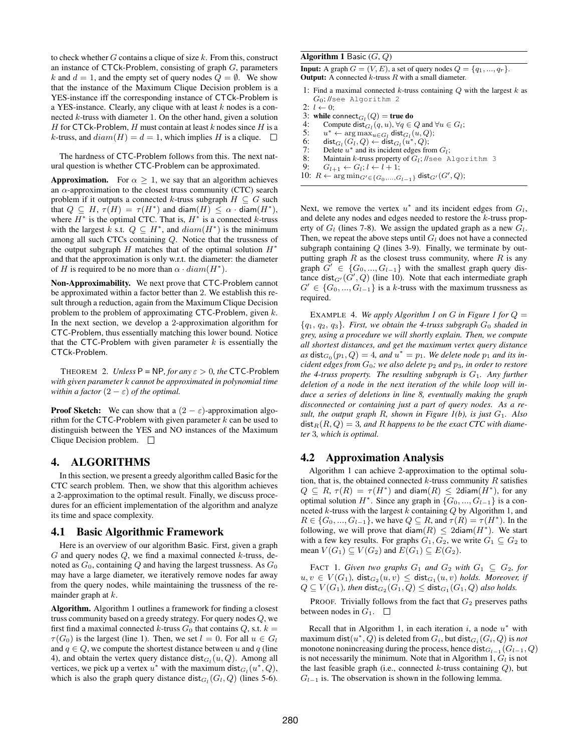to check whether  $G$  contains a clique of size  $k$ . From this, construct an instance of  $CTCk$ -Problem, consisting of graph  $G$ , parameters k and  $d = 1$ , and the empty set of query nodes  $Q = \emptyset$ . We show that the instance of the Maximum Clique Decision problem is a YES-instance iff the corresponding instance of CTCk-Problem is a YES-instance. Clearly, any clique with at least  $k$  nodes is a connected  $k$ -truss with diameter 1. On the other hand, given a solution H for CTCk-Problem, H must contain at least k nodes since H is a k-truss, and  $diam(H) = d = 1$ , which implies H is a clique.  $\square$ 

The hardness of CTC-Problem follows from this. The next natural question is whether CTC-Problem can be approximated.

**Approximation.** For  $\alpha \geq 1$ , we say that an algorithm achieves an  $\alpha$ -approximation to the closest truss community (CTC) search problem if it outputs a connected k-truss subgraph  $H \subseteq G$  such that  $Q \subseteq H$ ,  $\tau(H) = \tau(H^*)$  and  $\text{diam}(H) \leq \alpha \cdot \text{diam}(H^*),$ where  $H^*$  is the optimal CTC. That is,  $H^*$  is a connected k-truss with the largest k s.t.  $Q \subseteq H^*$ , and  $diam(H^*)$  is the minimum among all such CTCs containing Q. Notice that the trussness of the output subgraph H matches that of the optimal solution  $H^*$ and that the approximation is only w.r.t. the diameter: the diameter of H is required to be no more than  $\alpha \cdot diam(H^*)$ .

Non-Approximability. We next prove that CTC-Problem cannot be approximated within a factor better than 2. We establish this result through a reduction, again from the Maximum Clique Decision problem to the problem of approximating CTC-Problem, given k. In the next section, we develop a 2-approximation algorithm for CTC-Problem, thus essentially matching this lower bound. Notice that the CTC-Problem with given parameter  $k$  is essentially the CTCk-Problem.

THEOREM 2. *Unless*  $P = NP$ *, for any*  $\varepsilon > 0$ *, the* CTC-Problem *with given parameter* k *cannot be approximated in polynomial time within a factor*  $(2 - \varepsilon)$  *of the optimal.* 

**Proof Sketch:** We can show that a  $(2 - \varepsilon)$ -approximation algorithm for the CTC-Problem with given parameter  $k$  can be used to distinguish between the YES and NO instances of the Maximum Clique Decision problem.  $\Box$ 

# 4. ALGORITHMS

In this section, we present a greedy algorithm called Basic for the CTC search problem. Then, we show that this algorithm achieves a 2-approximation to the optimal result. Finally, we discuss procedures for an efficient implementation of the algorithm and analyze its time and space complexity.

# 4.1 Basic Algorithmic Framework

Here is an overview of our algorithm Basic. First, given a graph  $G$  and query nodes  $Q$ , we find a maximal connected  $k$ -truss, denoted as  $G_0$ , containing Q and having the largest trussness. As  $G_0$ may have a large diameter, we iteratively remove nodes far away from the query nodes, while maintaining the trussness of the remainder graph at  $k$ .

Algorithm. Algorithm 1 outlines a framework for finding a closest truss community based on a greedy strategy. For query nodes Q, we first find a maximal connected k-truss  $G_0$  that contains Q, s.t.  $k =$  $\tau(G_0)$  is the largest (line 1). Then, we set  $l = 0$ . For all  $u \in G_l$ and  $q \in Q$ , we compute the shortest distance between u and q (line 4), and obtain the vertex query distance  $dist_{G_l}(u, Q)$ . Among all vertices, we pick up a vertex  $u^*$  with the maximum dist $_{G_l}(u^*, Q)$ , which is also the graph query distance  $dist_{G_l}(G_l, Q)$  (lines 5-6).

#### Algorithm 1 Basic  $(G, Q)$

**Input:** A graph  $G = (V, E)$ , a set of query nodes  $Q = \{q_1, ..., q_r\}$ . **Output:** A connected  $k$ -truss  $R$  with a small diameter.

- 1: Find a maximal connected  $k$ -truss containing  $Q$  with the largest  $k$  as  $G_0$ ; //see Algorithm 2
- 2:  $l \leftarrow 0$ ;
- 3: while connect<sub> $G_l$ </sub> $(Q)$  = true do
- 4: Compute dist $G_l(q, u)$ ,  $\forall q \in Q$  and  $\forall u \in G_l$ ;
- 5:  $u^* \leftarrow \arg \max_{u \in G_l} \textsf{dist}_{G_l}(u, Q);$
- $6:$  dist $_{G_l}(G_l,Q) \leftarrow \textsf{dist}_{G_l}(u^*,Q);$
- 7: Delete  $u^*$  and its incident edges from  $G_l$ ;
- 8: Maintain  $k$ -truss property of  $G_l$ ; //see Algorithm 3
- 9:  $G_{l+1} \leftarrow G_l; l \leftarrow l+1;$
- 10:  $R \leftarrow \arg \min_{G' \in \{G_0, ..., G_{l-1}\}} \textsf{dist}_{G'}(G', Q);$

Next, we remove the vertex  $u^*$  and its incident edges from  $G_l$ , and delete any nodes and edges needed to restore the k-truss property of  $G_l$  (lines 7-8). We assign the updated graph as a new  $G_l$ . Then, we repeat the above steps until  $G_l$  does not have a connected subgraph containing  $Q$  (lines 3-9). Finally, we terminate by outputting graph  $R$  as the closest truss community, where  $R$  is any graph  $G' \in \{G_0, ..., G_{l-1}\}\$  with the smallest graph query distance dist $_{G'}(G', Q)$  (line 10). Note that each intermediate graph  $G' \in \{G_0, ..., G_{l-1}\}\$  is a k-truss with the maximum trussness as required.

EXAMPLE 4. We apply Algorithm 1 on G in Figure 1 for  $Q =$  ${q_1, q_2, q_3}$ *. First, we obtain the 4-truss subgraph*  $G_0$  *shaded in grey, using a procedure we will shortly explain. Then, we compute all shortest distances, and get the maximum vertex query distance*  $as$  dist $_{G_0}(p_1, Q) = 4$ *, and*  $u^* = p_1$ *. We delete node*  $p_1$  *and its incident edges from*  $G_0$ *; we also delete*  $p_2$  *and*  $p_3$ *, in order to restore the 4-truss property. The resulting subgraph is* G1*. Any further deletion of a node in the next iteration of the while loop will induce a series of deletions in line 8, eventually making the graph disconnected or containing just a part of query nodes. As a result, the output graph* R*, shown in Figure 1(b), is just* G1*. Also*  $dist_R(R, Q) = 3$ , and R happens to be the exact CTC with diame*ter* 3*, which is optimal.*

# 4.2 Approximation Analysis

Algorithm 1 can achieve 2-approximation to the optimal solution, that is, the obtained connected  $k$ -truss community  $R$  satisfies  $Q \subseteq R$ ,  $\tau(R) = \tau(H^*)$  and diam $(R) \leq 2$ diam $(H^*)$ , for any optimal solution  $H^*$ . Since any graph in  $\{G_0, ..., G_{l-1}\}$  is a connceted  $k$ -truss with the largest  $k$  containing  $Q$  by Algorithm 1, and  $R \in \{G_0, ..., G_{l-1}\}\$ , we have  $Q \subseteq R$ , and  $\tau(R) = \tau(H^*)$ . In the following, we will prove that  $\text{diam}(R) \leq 2\text{diam}(H^*)$ . We start with a few key results. For graphs  $G_1, G_2$ , we write  $G_1 \subseteq G_2$  to mean  $V(G_1) \subseteq V(G_2)$  and  $E(G_1) \subseteq E(G_2)$ .

FACT 1. *Given two graphs*  $G_1$  *and*  $G_2$  *with*  $G_1 \subseteq G_2$ *, for*  $u, v \in V(G_1)$ ,  $\operatorname{\sf dist}_{G_2}(u, v) \leq \operatorname{\sf dist}_{G_1}(u, v)$  holds. Moreover, if  $Q \subseteq V(G_1)$ , then  $\textsf{dist}_{G_2}(G_1, Q) \leq \textsf{dist}_{G_1}(G_1, Q)$  also holds.

PROOF. Trivially follows from the fact that  $G_2$  preserves paths between nodes in  $G_1$ .  $\Box$ 

Recall that in Algorithm 1, in each iteration  $i$ , a node  $u^*$  with maximum dist $(u^*,\overline{Q})$  is deleted from  $G_i,$  but dist $_{G_i}(G_i,Q)$  is *not* monotone nonincreasing during the process, hence  $\textsf{dist}_{G_{l-1}}(G_{l-1}, Q)$ is not necessarily the minimum. Note that in Algorithm 1,  $G_l$  is not the last feasible graph (i.e., connected  $k$ -truss containing  $Q$ ), but  $G_{l-1}$  is. The observation is shown in the following lemma.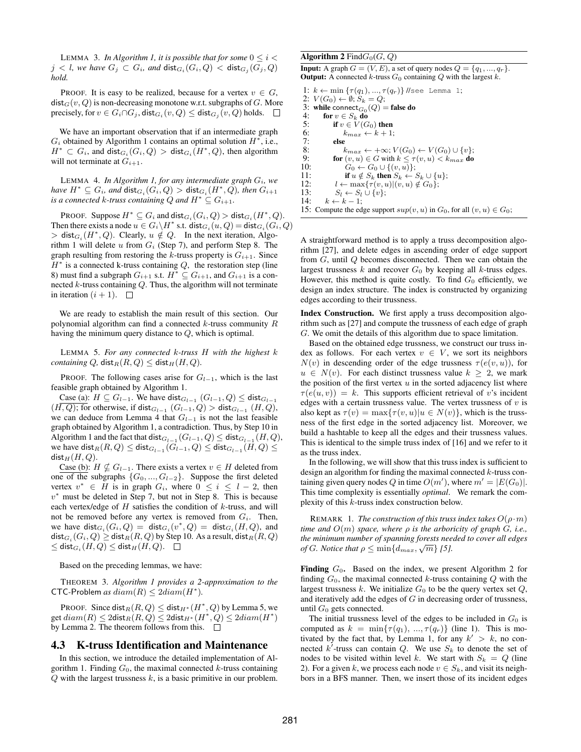LEMMA 3. *In Algorithm 1, it is possible that for some*  $0 \leq i <$  $j < l$ , we have  $G_j \subset G_i$ , and  $\mathsf{dist}_{G_i}(G_i, Q) < \mathsf{dist}_{G_j}(G_j, Q)$ *hold.*

PROOF. It is easy to be realized, because for a vertex  $v \in G$ ,  $dist_G(v, Q)$  is non-decreasing monotone w.r.t. subgraphs of G. More precisely, for  $v \in G_i \cap G_j$ , dist $_{G_i}(v, Q) \leq \text{dist}_{G_j}(v, Q)$  holds.

We have an important observation that if an intermediate graph  $G_i$  obtained by Algorithm 1 contains an optimal solution  $H^*$ , i.e.,  $H^* \subset G_i$ , and  $\textsf{dist}_{G_i}(G_i, Q) > \textsf{dist}_{G_i}(H^*, Q)$ , then algorithm will not terminate at  $G_{i+1}$ .

LEMMA 4. *In Algorithm 1, for any intermediate graph*  $G_i$ *, we*  $h$ ave  $H^* \subseteq G_i$ , and  $\operatorname{\sf dist}_{G_i}(G_i, Q) > \operatorname{\sf dist}_{G_i}(H^*, Q)$ , then  $G_{i+1}$ *is a connected* k-truss containing Q and  $H^* \subset G_{i+1}$ .

PROOF. Suppose  $H^* \subseteq G_i$  and  $\textsf{dist}_{G_i}(G_i, Q) > \textsf{dist}_{G_i}(H^*, Q)$ . Then there exists a node  $u \in G_i \backslash H^*$  s.t.  $\textsf{dist}_{G_i}(u, Q) = \textsf{dist}_{G_i}(G_i, Q)$  $>$  dist $_{G_i}(H^*,Q)$ . Clearly,  $u \notin Q$ . In the next iteration, Algorithm 1 will delete  $u$  from  $G_i$  (Step 7), and perform Step 8. The graph resulting from restoring the k-truss property is  $G_{i+1}$ . Since  $H^*$  is a connected k-truss containing  $Q$ , the restoration step (line 8) must find a subgraph  $G_{i+1}$  s.t.  $H^* \subseteq G_{i+1}$ , and  $G_{i+1}$  is a connected  $k$ -truss containing  $Q$ . Thus, the algorithm will not terminate in iteration  $(i + 1)$ .

We are ready to establish the main result of this section. Our polynomial algorithm can find a connected  $k$ -truss community  $R$ having the minimum query distance to Q, which is optimal.

LEMMA 5. *For any connected* k*-truss* H *with the highest* k *containing* Q,  $dist_R(R, Q) \leq dist_H(H, Q)$ .

PROOF. The following cases arise for  $G_{l-1}$ , which is the last feasible graph obtained by Algorithm 1.

 $\text{Case (a):}~ H ⊆ G_{l-1}$ . We have dist $_{G_{l-1}}(G_{l-1},Q)$  ≤ dist $_{G_{l-1}}$  $(H, Q)$ ; for otherwise, if dist $_{G_{l-1}}$   $(G_{l-1}, Q) >$  dist $_{G_{l-1}}$   $(H, Q)$ , we can deduce from Lemma 4 that  $G_{l-1}$  is not the last feasible graph obtained by Algorithm 1, a contradiction. Thus, by Step 10 in Algorithm 1 and the fact that  $\operatorname{dist}_{G_{l-1}}(G_{l-1}, Q) \leq \operatorname{dist}_{G_{l-1}}(H, Q)$ , we have  $\operatorname{\sf dist}_R(R, Q) \le \operatorname{\sf dist}_{G_{l-1}}(G_{l-1}, Q) \le \operatorname{\sf dist}_{G_{l-1}}(H, Q) \le$  $dist_H(H, Q)$ .

Case (b):  $H \nsubseteq G_{l-1}$ . There exists a vertex  $v \in H$  deleted from one of the subgraphs  $\{G_0, ..., G_{l-2}\}$ . Suppose the first deleted vertex  $v^* \in H$  is in graph  $G_i$ , where  $0 \le i \le l-2$ , then  $v^*$  must be deleted in Step 7, but not in Step 8. This is because each vertex/edge of  $H$  satisfies the condition of  $k$ -truss, and will not be removed before any vertex is removed from  $G_i$ . Then, we have  $dist_{G_i}(G_i, Q) = dist_{G_i}(v^*, Q) = dist_{G_i}(H, Q)$ , and  $\operatorname{\sf dist}_{G_i}(G_i, Q) \geq \operatorname{\sf dist}_R(R, Q)$  by Step 10. As a result,  $\operatorname{\sf dist}_R(R, Q)$  $\leq \operatorname{\sf dist}_{G_i}(H,Q) \leq \operatorname{\sf dist}_H(H,Q).$ 

Based on the preceding lemmas, we have:

THEOREM 3. *Algorithm 1 provides a 2-approximation to the* CTC-Problem *as*  $diam(R) \leq 2 diam(H^*)$ .

PROOF. Since dist $_R(R, Q) \leq$  dist $_{H^*}(H^*, Q)$  by Lemma 5, we get  $diam(R) \leq 2$ dist $_R(R,Q) \leq 2$ dist $_{H^*}(H^*,Q) \leq 2 diam(H^*)$ by Lemma 2. The theorem follows from this.  $\Box$ 

## 4.3 K-truss Identification and Maintenance

In this section, we introduce the detailed implementation of Algorithm 1. Finding  $G_0$ , the maximal connected  $k$ -truss containing  $Q$  with the largest trussness  $k$ , is a basic primitive in our problem.

#### Algorithm 2 Find $G_0(G, Q)$

**Input:** A graph  $G = (V, E)$ , a set of query nodes  $Q = \{q_1, ..., q_r\}$ . **Output:** A connected  $k$ -truss  $G_0$  containing  $Q$  with the largest  $k$ .

1:  $k \leftarrow \min \{\tau(q_1), ..., \tau(q_r)\}$  //see Lemma 1; 2:  $V(G_0) \leftarrow \emptyset$ ;  $S_k = Q$ ; 3: while connect<sub> $G_0$ </sub> $(Q)$  = false do 4: for  $v \in S_k$  do<br>5: if  $v \in V(G)$ 5: if  $v \in V(G_0)$  then<br>6:  $k_{max} \leftarrow k+1$ 6:  $k_{max} \leftarrow k + 1;$ <br>7: else 7: else<br>8:  $k$ 8:  $k_{max} \leftarrow +\infty; V(G_0) \leftarrow V(G_0) \cup \{v\};$ <br>9. for  $(v, u) \in G$  with  $k \leq \tau(v, u) \leq k_{max}$  do 9: for  $(v, u) \in G$  with  $k \leq \tau(v, u) < k_{max}$  do 10:  $G_0 \leftarrow G_0 \cup \{(v, u)\}$ : 10:  $G_0 \leftarrow G_0 \cup \{(v, u)\};$ <br>11: **if**  $u \notin S_i$ , then  $S_i \leftarrow S_i$ 11: **if**  $u \notin S_k$  then  $S_k \leftarrow S_k \cup \{u\};$ <br>12:  $l \leftarrow \max\{\tau(v, u) | (v, u) \notin G_0\}.$ 12:  $l \leftarrow \max{\tau(v, u) | (v, u) \notin G_0};$ <br>13:  $S_l \leftarrow S_l \cup \{v\};$ 13:  $S_l \leftarrow S_l \cup \{v\};$ <br>14:  $k \leftarrow k-1$ :  $k \leftarrow k - 1$ ; 15: Compute the edge support  $sup(v, u)$  in  $G_0$ , for all  $(v, u) \in G_0$ ;

A straightforward method is to apply a truss decomposition algorithm [27], and delete edges in ascending order of edge support from G, until Q becomes disconnected. Then we can obtain the largest trussness  $k$  and recover  $G_0$  by keeping all  $k$ -truss edges. However, this method is quite costly. To find  $G_0$  efficiently, we design an index structure. The index is constructed by organizing edges according to their trussness.

Index Construction. We first apply a truss decomposition algorithm such as [27] and compute the trussness of each edge of graph G. We omit the details of this algorithm due to space limitation.

Based on the obtained edge trussness, we construct our truss index as follows. For each vertex  $v \in V$ , we sort its neighbors  $N(v)$  in descending order of the edge trussness  $\tau(e(v, u))$ , for  $u \in N(v)$ . For each distinct trussness value  $k \geq 2$ , we mark the position of the first vertex  $u$  in the sorted adjacency list where  $\tau(e(u, v)) = k$ . This supports efficient retrieval of v's incident edges with a certain trussness value. The vertex trussness of  $v$  is also kept as  $\tau(v) = \max{\{\tau(v, u) | u \in N(v)\}}$ , which is the trussness of the first edge in the sorted adjacency list. Moreover, we build a hashtable to keep all the edges and their trussness values. This is identical to the simple truss index of [16] and we refer to it as the truss index.

In the following, we will show that this truss index is sufficient to design an algorithm for finding the maximal connected  $k$ -truss containing given query nodes Q in time  $O(m')$ , where  $m' = |E(G_0)|$ . This time complexity is essentially *optimal*. We remark the complexity of this k-truss index construction below.

REMARK 1. *The construction of this truss index takes*  $O(\rho \cdot m)$ *time and* O(m) *space, where* ρ *is the arboricity of graph* G*, i.e., the minimum number of spanning forests needed to cover all edges* √ *of G*. Notice that  $\rho \le \min\{d_{max}, \sqrt{m}\}\$  [5].

**Finding**  $G_0$ . Based on the index, we present Algorithm 2 for finding  $G_0$ , the maximal connected k-truss containing Q with the largest trussness k. We initialize  $G_0$  to be the query vertex set  $Q$ , and iteratively add the edges of  $G$  in decreasing order of trussness, until  $G_0$  gets connected.

The initial trussness level of the edges to be included in  $G_0$  is computed as  $k = \min\{\tau(q_1), ..., \tau(q_r)\}\$  (line 1). This is motivated by the fact that, by Lemma 1, for any  $k' > k$ , no connected  $k'$ -truss can contain Q. We use  $S_k$  to denote the set of nodes to be visited within level k. We start with  $S_k = Q$  (line 2). For a given k, we process each node  $v \in S_k$ , and visit its neighbors in a BFS manner. Then, we insert those of its incident edges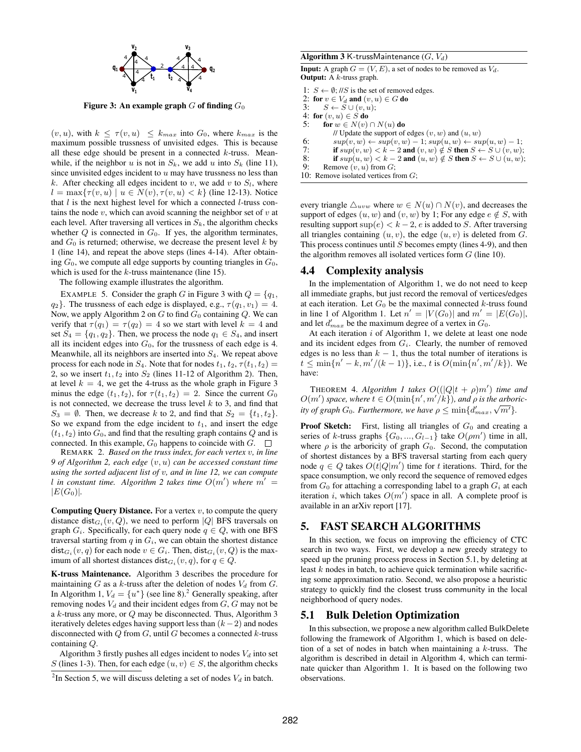

Figure 3: An example graph  $G$  of finding  $G_0$ 

 $(v, u)$ , with  $k \leq \tau(v, u) \leq k_{max}$  into  $G_0$ , where  $k_{max}$  is the maximum possible trussness of unvisited edges. This is because all these edge should be present in a connected  $k$ -truss. Meanwhile, if the neighbor u is not in  $S_k$ , we add u into  $S_k$  (line 11), since unvisited edges incident to  $u$  may have trussness no less than k. After checking all edges incident to v, we add v to  $S_l$ , where  $l = \max\{\tau(v, u) \mid u \in N(v), \tau(v, u) < k\}$  (line 12-13). Notice that  $l$  is the next highest level for which a connected  $l$ -truss contains the node  $v$ , which can avoid scanning the neighbor set of  $v$  at each level. After traversing all vertices in  $S_k$ , the algorithm checks whether  $Q$  is connected in  $G_0$ . If yes, the algorithm terminates, and  $G_0$  is returned; otherwise, we decrease the present level k by 1 (line 14), and repeat the above steps (lines 4-14). After obtaining  $G_0$ , we compute all edge supports by counting triangles in  $G_0$ , which is used for the  $k$ -truss maintenance (line 15).

The following example illustrates the algorithm.

EXAMPLE 5. Consider the graph G in Figure 3 with  $Q = \{q_1,$  $q_2$ . The trussness of each edge is displayed, e.g.,  $\tau(q_1, v_1) = 4$ . Now, we apply Algorithm 2 on  $G$  to find  $G_0$  containing  $Q$ . We can verify that  $\tau(q_1) = \tau(q_2) = 4$  so we start with level  $k = 4$  and set  $S_4 = \{q_1, q_2\}$ . Then, we process the node  $q_1 \in S_4$ , and insert all its incident edges into  $G_0$ , for the trussness of each edge is 4. Meanwhile, all its neighbors are inserted into  $S<sub>4</sub>$ . We repeat above process for each node in  $S_4$ . Note that for nodes  $t_1, t_2, \tau(t_1, t_2) =$ 2, so we insert  $t_1, t_2$  into  $S_2$  (lines 11-12 of Algorithm 2). Then, at level  $k = 4$ , we get the 4-truss as the whole graph in Figure 3 minus the edge  $(t_1, t_2)$ , for  $\tau(t_1, t_2) = 2$ . Since the current  $G_0$ is not connected, we decrease the truss level  $k$  to 3, and find that  $S_3 = \emptyset$ . Then, we decrease k to 2, and find that  $S_2 = \{t_1, t_2\}$ . So we expand from the edge incident to  $t_1$ , and insert the edge  $(t_1, t_2)$  into  $G_0$ , and find that the resulting graph contains Q and is connected. In this example,  $G_0$  happens to coincide with  $G$ .  $\Box$ 

REMARK 2. *Based on the truss index, for each vertex* v*, in line 9 of Algorithm 2, each edge* (v, u) *can be accessed constant time using the sorted adjacent list of* v*, and in line 12, we can compute l* in constant time. Algorithm 2 takes time  $O(m')$  where  $m' =$  $|E(G_0)|$ .

**Computing Query Distance.** For a vertex  $v$ , to compute the query distance dist $_{G_i}(v, Q)$ , we need to perform |Q| BFS traversals on graph  $G_i$ . Specifically, for each query node  $q \in Q$ , with one BFS traversal starting from  $q$  in  $G_i$ , we can obtain the shortest distance  $\mathsf{dist}_{G_i}(v, q)$  for each node  $v \in G_i$ . Then,  $\mathsf{dist}_{G_i}(v, Q)$  is the maximum of all shortest distances dist $G_i(v, q)$ , for  $q \in Q$ .

K-truss Maintenance. Algorithm 3 describes the procedure for maintaining  $G$  as a k-truss after the deletion of nodes  $V_d$  from  $G$ . In Algorithm 1,  $V_d = \{u^*\}$  (see line 8).<sup>2</sup> Generally speaking, after removing nodes  $V_d$  and their incident edges from  $G$ ,  $G$  may not be a k-truss any more, or Q may be disconnected. Thus, Algorithm 3 iteratively deletes edges having support less than  $(k-2)$  and nodes disconnected with  $Q$  from  $G$ , until  $G$  becomes a connected  $k$ -truss containing Q.

Algorithm 3 firstly pushes all edges incident to nodes  $V_d$  into set S (lines 1-3). Then, for each edge  $(u, v) \in S$ , the algorithm checks

#### Algorithm 3 K-trussMaintenance  $(G, V_d)$

**Input:** A graph  $G = (V, E)$ , a set of nodes to be removed as  $V_d$ . **Output:** A  $k$ -truss graph.

1:  $S \leftarrow \emptyset$ ; //S is the set of removed edges.

2: for  $v \in V_d$  and  $(v, u) \in G$  do

3:  $S \leftarrow S \cup (v, u);$ 

- 
- 4: for  $(v, u) \in S$  do<br>5: for  $w \in N(v)$ for  $w \in N(v) \cap N(u)$  do
	- // Update the support of edges  $(v, w)$  and  $(u, w)$
- 6:  $\text{sup}(v, w) \leftarrow \text{sup}(v, w) 1$ ;  $\text{sup}(u, w) \leftarrow \text{sup}(u, w) 1$ ;<br>7: **if**  $\text{sup}(v, w) < k 2$  and  $(v, w) \notin S$  then  $S \leftarrow S \cup (v, w)$ ;
- 7: if  $sup(v, w) < k 2$  and  $(v, w) \notin S$  then  $S \leftarrow S \cup (v, w);$ <br>8: if  $sup(u, w) < k 2$  and  $(u, w) \notin S$  then  $S \leftarrow S \cup (u, w);$
- 8: **if**  $sup(u, w) < k 2$  and  $(u, w) \notin S$  then  $S \leftarrow S \cup (u, w)$ ;<br>9: **Benowe**  $(u, u)$  from  $G$ :
- Remove  $(v, u)$  from  $G$ ;
- 10: Remove isolated vertices from  $G$ ;

every triangle  $\triangle_{uvw}$  where  $w \in N(u) \cap N(v)$ , and decreases the support of edges  $(u, w)$  and  $(v, w)$  by 1; For any edge  $e \notin S$ , with resulting support  $\sup(e) < k - 2$ , e is added to S. After traversing all triangles containing  $(u, v)$ , the edge  $(u, v)$  is deleted from G. This process continues until  $S$  becomes empty (lines 4-9), and then the algorithm removes all isolated vertices form  $G$  (line 10).

# 4.4 Complexity analysis

In the implementation of Algorithm 1, we do not need to keep all immediate graphs, but just record the removal of vertices/edges at each iteration. Let  $G_0$  be the maximal connected k-truss found in line 1 of Algorithm 1. Let  $n' = |V(G_0)|$  and  $m' = |E(G_0)|$ , and let  $d'_{max}$  be the maximum degree of a vertex in  $G_0$ .

At each iteration  $i$  of Algorithm 1, we delete at least one node and its incident edges from  $G_i$ . Clearly, the number of removed edges is no less than  $k - 1$ , thus the total number of iterations is  $t \le \min\{n' - k, m'/(k-1)\}\)$ , i.e., t is  $O(\min\{n', m'/k\})$ . We have:

THEOREM 4. *Algorithm 1 takes*  $O((|Q|t + \rho)m')$  *time and*  $O(m')$  space, where  $t \in O(\min\{n', m'/k\})$ , and  $\rho$  is the arboric*ity of graph*  $G_0$ *. Furthermore, we have*  $\rho \le \min\{d'_{max}, \sqrt{m'}\}$ *.* 

**Proof Sketch:** First, listing all triangles of  $G_0$  and creating a series of k-truss graphs  $\{G_0, ..., G_{l-1}\}\$  take  $O(\rho m')$  time in all, where  $\rho$  is the arboricity of graph  $G_0$ . Second, the computation of shortest distances by a BFS traversal starting from each query node  $q \in Q$  takes  $O(t|Q|m')$  time for t iterations. Third, for the space consumption, we only record the sequence of removed edges from  $G_0$  for attaching a corresponding label to a graph  $G_i$  at each iteration *i*, which takes  $O(m)$  space in all. A complete proof is available in an arXiv report [17].

# 5. FAST SEARCH ALGORITHMS

In this section, we focus on improving the efficiency of CTC search in two ways. First, we develop a new greedy strategy to speed up the pruning process process in Section 5.1, by deleting at least  $k$  nodes in batch, to achieve quick termination while sacrificing some approximation ratio. Second, we also propose a heuristic strategy to quickly find the closest truss community in the local neighborhood of query nodes.

#### 5.1 Bulk Deletion Optimization

In this subsection, we propose a new algorithm called BulkDelete following the framework of Algorithm 1, which is based on deletion of a set of nodes in batch when maintaining a  $k$ -truss. The algorithm is described in detail in Algorithm 4, which can terminate quicker than Algorithm 1. It is based on the following two observations.

<sup>&</sup>lt;sup>2</sup>In Section 5, we will discuss deleting a set of nodes  $V_d$  in batch.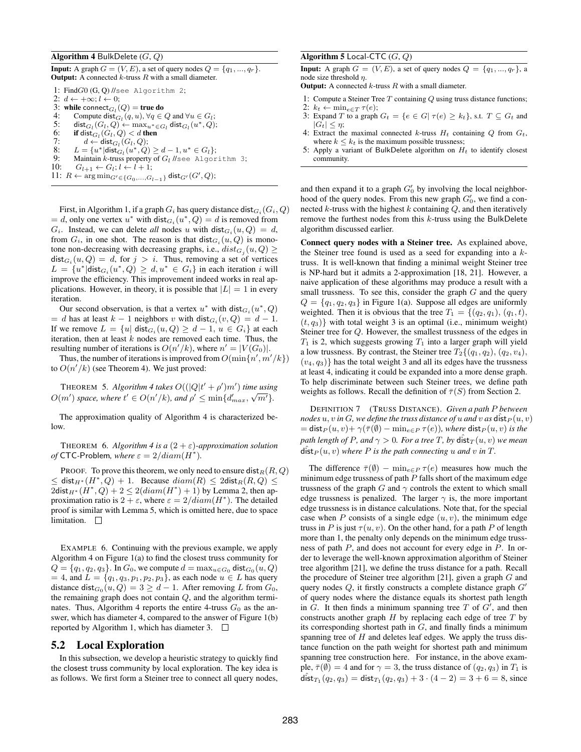#### **Algorithm 4 BulkDelete**  $(G, Q)$

**Input:** A graph  $G = (V, E)$ , a set of query nodes  $Q = \{q_1, ..., q_r\}$ . **Output:** A connected  $k$ -truss  $R$  with a small diameter.

1: FindG0 (G, Q) //see Algorithm 2;

- 2:  $d \leftarrow +\infty; l \leftarrow 0;$
- 3: while connect<sub> $G_l$ </sub> $(Q)$  = true do
- 4: Compute  $dist_{G_l}(q, u), \forall q \in Q$  and  $\forall u \in G_l$ ;
- 5: dist $G_l(G_l, Q)$  ←  $\max_{u^* \in G_l} \textsf{dist}_{G_l}(u^*, Q);$
- 6: if dist $_{G_l}(G_l, Q) < d$  then
- 7:  $d \leftarrow \mathsf{dist}_{G_l}(G_l, Q);$
- 8:  $L = \{u^* | \textsf{dist}_{G_l}(u^*, Q) \ge d 1, u^* \in G_l\};$ 9: Maintain  $k$ -truss property of  $G_l$  //see Algorithm 3;
- 10:  $G_{l+1} \leftarrow G_l; l \leftarrow l+1;$
- 11:  $R \leftarrow \arg \min_{G' \in \{G_0, ..., G_{l-1}\}} \textsf{dist}_{G'}(G', Q);$

First, in Algorithm 1, if a graph  $G_i$  has query distance  ${\sf dist}_{G_i}(G_i, Q)$  $= d$ , only one vertex  $u^*$  with  $dist_{G_i}(u^*, Q) = d$  is removed from  $G_i$ . Instead, we can delete *all* nodes u with  $dist_{G_i}(u, Q) = d$ , from  $G_i$ , in one shot. The reason is that  $dist_{G_i}(u, Q)$  is monotone non-decreasing with decreasing graphs, i.e.,  $dist_{G_j}(u, Q) \ge$  $dist_{G_i}(u, Q) = d$ , for  $j > i$ . Thus, removing a set of vertices  $L = \{u^* | \text{dist}_{G_i}(u^*, Q) \ge d, u^* \in G_i\}$  in each iteration i will improve the efficiency. This improvement indeed works in real applications. However, in theory, it is possible that  $|L| = 1$  in every iteration.

Our second observation, is that a vertex  $u^*$  with  $dist_{G_i}(u^*, Q)$  $= d$  has at least  $k - 1$  neighbors v with  $dist_{G_i}(v, Q) = d - 1$ . If we remove  $L = \{u | \text{ dist}_{G_i}(u, Q) \ge d - 1, u \in G_i\}$  at each iteration, then at least  $k$  nodes are removed each time. Thus, the resulting number of iterations is  $O(n'/k)$ , where  $n' = |V(G_0)|$ .

Thus, the number of iterations is improved from  $O(\min\{n', m'/k\})$ to  $O(n'/k)$  (see Theorem 4). We just proved:

THEOREM 5. *Algorithm 4 takes*  $O((|Q|t' + \rho')m')$  *time using*  $O(m')$  space, where  $t' \in O(n'/k)$ , and  $\rho' \leq \min\{d'_{max}, \sqrt{m'}\}.$ 

The approximation quality of Algorithm 4 is characterized below.

THEOREM 6. *Algorithm 4 is a*  $(2 + \varepsilon)$ -approximation solution *of* CTC-Problem, where  $\varepsilon = 2/diam(H^*)$ .

PROOF. To prove this theorem, we only need to ensure dist $_R(R, Q)$  $\leq$  dist $_{H^*}(H^*,Q) + 1$ . Because  $diam(R) \leq 2$ dist $_R(R,Q) \leq$  $2 \text{dist}_{H^*}(H^*, Q) + 2 \leq 2 (diam(H^*) + 1)$  by Lemma 2, then approximation ratio is  $2 + \varepsilon$ , where  $\varepsilon = 2/diam(H^*)$ . The detailed proof is similar with Lemma 5, which is omitted here, due to space limitation.  $\square$ 

EXAMPLE 6. Continuing with the previous example, we apply Algorithm 4 on Figure 1(a) to find the closest truss community for  $Q = \{q_1, q_2, q_3\}$ . In  $G_0$ , we compute  $d = \max_{u \in G_0} \text{dist}_{G_0}(u, Q)$ = 4, and  $L = \{q_1, q_3, p_1, p_2, p_3\}$ , as each node  $u \in L$  has query distance dist $_{G_0}(u, Q) = 3 \ge d - 1$ . After removing L from  $G_0$ , the remaining graph does not contain  $Q$ , and the algorithm terminates. Thus, Algorithm 4 reports the entire 4-truss  $G_0$  as the answer, which has diameter 4, compared to the answer of Figure 1(b) reported by Algorithm 1, which has diameter 3.  $\square$ 

## 5.2 Local Exploration

In this subsection, we develop a heuristic strategy to quickly find the closest truss community by local exploration. The key idea is as follows. We first form a Steiner tree to connect all query nodes,

### Algorithm 5 Local-CTC  $(G, Q)$

**Input:** A graph  $G = (V, E)$ , a set of query nodes  $Q = \{q_1, ..., q_r\}$ , a node size threshold η.

**Output:** A connected  $k$ -truss  $R$  with a small diameter.

- 1: Compute a Steiner Tree  $T$  containing  $Q$  using truss distance functions;
- 2:  $k_t \leftarrow \min_{e \in T} \tau(e);$
- 3: Expand T to a graph  $G_t = \{e \in G | \tau(e) \geq k_t\}$ , s.t.  $T \subseteq G_t$  and  $|G_t| \leq \eta;$
- 4: Extract the maximal connected k-truss  $H_t$  containing Q from  $G_t$ , where  $k \leq k_t$  is the maximum possible trussness;
- 5: Apply a variant of BulkDelete algorithm on  $H_t$  to identify closest community.

and then expand it to a graph  $G'_0$  by involving the local neighborhood of the query nodes. From this new graph  $G'_0$ , we find a connected  $k$ -truss with the highest  $k$  containing  $Q$ , and then iteratively remove the furthest nodes from this k-truss using the BulkDelete algorithm discussed earlier.

Connect query nodes with a Steiner tree. As explained above, the Steiner tree found is used as a seed for expanding into a ktruss. It is well-known that finding a minimal weight Steiner tree is NP-hard but it admits a 2-approximation [18, 21]. However, a naive application of these algorithms may produce a result with a small trussness. To see this, consider the graph  $G$  and the query  $Q = \{q_1, q_2, q_3\}$  in Figure 1(a). Suppose all edges are uniformly weighted. Then it is obvious that the tree  $T_1 = \{(q_2, q_1), (q_1, t)\}$  $(t, q_3)$  with total weight 3 is an optimal (i.e., minimum weight) Steiner tree for Q. However, the smallest trussness of the edges in  $T_1$  is 2, which suggests growing  $T_1$  into a larger graph will yield a low trussness. By contrast, the Steiner tree  $T_2$ { $(q_1, q_2)$ ,  $(q_2, v_4)$ ,  $(v_4, q_3)$  has the total weight 3 and all its edges have the trussness at least 4, indicating it could be expanded into a more dense graph. To help discriminate between such Steiner trees, we define path weights as follows. Recall the definition of  $\bar{\tau}(S)$  from Section 2.

DEFINITION 7 (TRUSS DISTANCE). *Given a path* P *between nodes*  $u, v$  *in*  $G$ *, we define the truss distance of*  $u$  *and*  $v$  *as* dist  $P(u, v)$  $=$  dist<sub>P</sub> $(u, v)$ +  $\gamma(\overline{\tau}(\emptyset)$  –  $\min_{e \in P} \tau(e)$ *)*, where dist<sub>P</sub> $(u, v)$  *is the path length of P, and*  $\gamma > 0$ *. For a tree T, by dist*  $T(u, v)$  *we mean*  $dist_P(u, v)$  *where P* is the path connecting u and v in T.

The difference  $\bar{\tau}(\emptyset)$  –  $\min_{e \in P} \tau(e)$  measures how much the minimum edge trussness of path  $P$  falls short of the maximum edge trussness of the graph G and  $\gamma$  controls the extent to which small edge trussness is penalized. The larger  $\gamma$  is, the more important edge trussness is in distance calculations. Note that, for the special case when P consists of a single edge  $(u, v)$ , the minimum edge truss in P is just  $\tau(u, v)$ . On the other hand, for a path P of length more than 1, the penalty only depends on the minimum edge trussness of path P, and does not account for every edge in P. In order to leverage the well-known approximation algorithm of Steiner tree algorithm [21], we define the truss distance for a path. Recall the procedure of Steiner tree algorithm [21], given a graph  $G$  and query nodes  $Q$ , it firstly constructs a complete distance graph  $G'$ of query nodes where the distance equals its shortest path length in  $G$ . It then finds a minimum spanning tree  $T$  of  $G'$ , and then constructs another graph  $H$  by replacing each edge of tree  $T$  by its corresponding shortest path in  $G$ , and finally finds a minimum spanning tree of  $H$  and deletes leaf edges. We apply the truss distance function on the path weight for shortest path and minimum spanning tree construction here. For instance, in the above example,  $\bar{\tau}(\emptyset) = 4$  and for  $\gamma = 3$ , the truss distance of  $(q_2, q_3)$  in  $T_1$  is dist $T_1(q_2, q_3) = \text{dist}_{T_1}(q_2, q_3) + 3 \cdot (4 - 2) = 3 + 6 = 8$ , since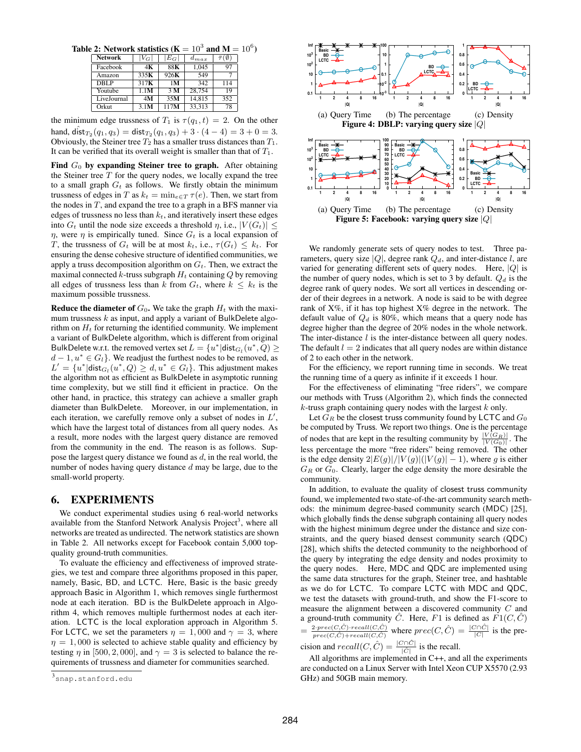Table 2: Network statistics ( $K = 10^3$  and  $M = 10^6$ )

|                |               |                | <b>I</b><br> |                 | . . |
|----------------|---------------|----------------|--------------|-----------------|-----|
| <b>Network</b> | $V_{G} \vert$ | $E_G\vert$     | $d_{max}$    | $\bar{\tau}$ (0 |     |
| Facebook       | 4Κ            | 88K            | 1.045        | 97              |     |
| Amazon         | 335K          | 926K           | 549          |                 |     |
| DBLP           | 317K          | 1M             | 342          | 114             |     |
| Youtube        | 1.1M          | 3 <sub>M</sub> | 28,754       | 19              |     |
| LiveJournal    | 4M            | 35M            | 14,815       | 352             |     |
| Orkut          | 3.1M          | 117M           | 33,313       | 78              |     |

the minimum edge trussness of  $T_1$  is  $\tau(q_1, t) = 2$ . On the other hand,  $\hat{\text{dist}}_{T_2}(q_1, q_3) = \text{dist}_{T_2}(q_1, q_3) + 3 \cdot (4 - 4) = 3 + 0 = 3.$ Obviously, the Steiner tree  $T_2$  has a smaller truss distances than  $T_1$ . It can be verified that its overall weight is smaller than that of  $T_1$ .

Find  $G_0$  by expanding Steiner tree to graph. After obtaining the Steiner tree  $T$  for the query nodes, we locally expand the tree to a small graph  $G_t$  as follows. We firstly obtain the minimum trussness of edges in T as  $k_t = \min_{e \in T} \tau(e)$ . Then, we start from the nodes in  $T$ , and expand the tree to a graph in a BFS manner via edges of trussness no less than  $k_t$ , and iteratively insert these edges into  $G_t$  until the node size exceeds a threshold  $\eta$ , i.e.,  $|V(G_t)| \le$  $\eta$ , were  $\eta$  is empirically tuned. Since  $G_t$  is a local expansion of T, the trussness of  $G_t$  will be at most  $k_t$ , i.e.,  $\tau(G_t) \leq k_t$ . For ensuring the dense cohesive structure of identified communities, we apply a truss decomposition algorithm on  $G_t$ . Then, we extract the maximal connected  $k$ -truss subgraph  $H_t$  containing  $Q$  by removing all edges of trussness less than k from  $G_t$ , where  $k \leq k_t$  is the maximum possible trussness.

**Reduce the diameter of**  $G_0$ **.** We take the graph  $H_t$  with the maximum trussness  $k$  as input, and apply a variant of BulkDelete algorithm on  $H_t$  for returning the identified community. We implement a variant of BulkDelete algorithm, which is different from original BulkDelete w.r.t. the removed vertex set  $L = \{u^* | \textsf{dist}_{G_l}(u^*,Q) \geq 0\}$  $d-1, u^* \in G_l$ . We readjust the furthest nodes to be removed, as  $L' = \{u^* | \text{dist}_{G_l}(u^*, Q) \ge d, u^* \in G_l\}.$  This adjustment makes the algorithm not as efficient as BulkDelete in asymptotic running time complexity, but we still find it efficient in practice. On the other hand, in practice, this strategy can achieve a smaller graph diameter than BulkDelete. Moreover, in our implementation, in each iteration, we carefully remove only a subset of nodes in  $L'$ , which have the largest total of distances from all query nodes. As a result, more nodes with the largest query distance are removed from the community in the end. The reason is as follows. Suppose the largest query distance we found as  $d$ , in the real world, the number of nodes having query distance  $d$  may be large, due to the small-world property.

# 6. EXPERIMENTS

We conduct experimental studies using 6 real-world networks available from the Stanford Network Analysis Project<sup>3</sup>, where all networks are treated as undirected. The network statistics are shown in Table 2. All networks except for Facebook contain 5,000 topquality ground-truth communities.

To evaluate the efficiency and effectiveness of improved strategies, we test and compare three algorithms proposed in this paper, namely, Basic, BD, and LCTC. Here, Basic is the basic greedy approach Basic in Algorithm 1, which removes single furthermost node at each iteration. BD is the BulkDelete approach in Algorithm 4, which removes multiple furthermost nodes at each iteration. LCTC is the local exploration approach in Algorithm 5. For LCTC, we set the parameters  $\eta = 1,000$  and  $\gamma = 3$ , where  $\eta = 1,000$  is selected to achieve stable quality and efficiency by testing  $\eta$  in [500, 2, 000], and  $\gamma = 3$  is selected to balance the requirements of trussness and diameter for communities searched.



We randomly generate sets of query nodes to test. Three parameters, query size  $|Q|$ , degree rank  $Q_d$ , and inter-distance l, are varied for generating different sets of query nodes. Here,  $|Q|$  is the number of query nodes, which is set to 3 by default.  $Q_d$  is the degree rank of query nodes. We sort all vertices in descending order of their degrees in a network. A node is said to be with degree rank of X%, if it has top highest X% degree in the network. The default value of  $Q_d$  is 80%, which means that a query node has degree higher than the degree of 20% nodes in the whole network. The inter-distance  $l$  is the inter-distance between all query nodes. The default  $l = 2$  indicates that all query nodes are within distance of 2 to each other in the network.

For the efficiency, we report running time in seconds. We treat the running time of a query as infinite if it exceeds 1 hour.

For the effectiveness of eliminating "free riders", we compare our methods with Truss (Algorithm 2), which finds the connected  $k$ -truss graph containing query nodes with the largest  $k$  only.

Let  $G_R$  be the closest truss community found by LCTC and  $G_0$ be computed by Truss. We report two things. One is the percentage of nodes that are kept in the resulting community by  $\frac{|V(G_R)|}{|V(G_0)|}$ . The less percentage the more "free riders" being removed. The other is the edge density  $2|E(g)|/|V(g)|(|V(g)|-1)$ , where g is either  $G_R$  or  $G_0$ . Clearly, larger the edge density the more desirable the community.

In addition, to evaluate the quality of closest truss community found, we implemented two state-of-the-art community search methods: the minimum degree-based community search (MDC) [25], which globally finds the dense subgraph containing all query nodes with the highest minimum degree under the distance and size constraints, and the query biased densest community search (QDC) [28], which shifts the detected community to the neighborhood of the query by integrating the edge density and nodes proximity to the query nodes. Here, MDC and QDC are implemented using the same data structures for the graph, Steiner tree, and hashtable as we do for LCTC. To compare LCTC with MDC and QDC, we test the datasets with ground-truth, and show the F1-score to measure the alignment between a discovered community C and a ground-truth community  $\ddot{C}$ . Here,  $F1$  is defined as  $F1(C, \ddot{C})$  $=\frac{2\cdot prec(C,\hat{C})\cdot recall(C,\hat{C})}{\arccos(C,\hat{C})\cdot \arccos(C,\hat{C})}$  $\frac{2 \cdot prec(C, \hat{C}) \cdot recall(C, \hat{C})}{prec(C, \hat{C}) + recall(C, \hat{C})}$  where  $prec(C, \hat{C}) = \frac{|C \cap \hat{C}|}{|C|}$  is the precision and  $recall(C, \hat{C}) = \frac{|C \cap \hat{C}|}{|\hat{C}|}$  is the recall.

All algorithms are implemented in C++, and all the experiments are conducted on a Linux Server with Intel Xeon CUP X5570 (2.93 GHz) and 50GB main memory.

<sup>3&</sup>lt;br>snap.stanford.edu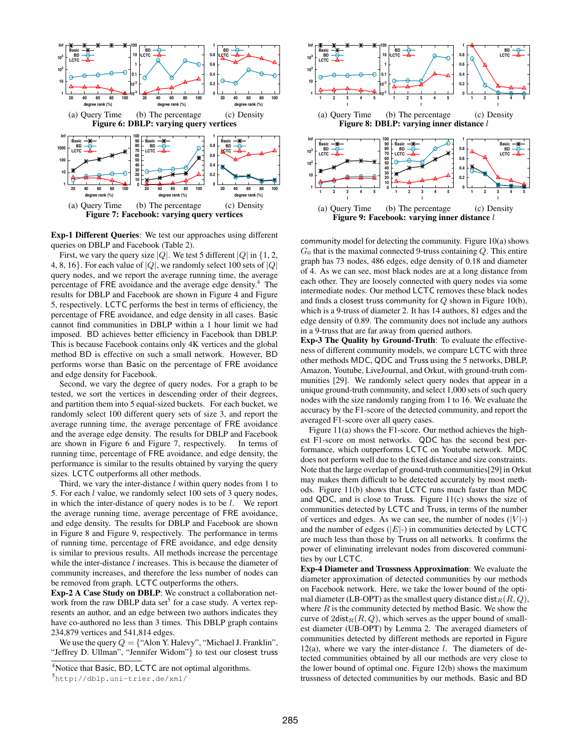

Exp-1 Different Queries: We test our approaches using different queries on DBLP and Facebook (Table 2).

First, we vary the query size |Q|. We test 5 different  $|Q|$  in {1, 2, 4, 8, 16}. For each value of  $|Q|$ , we randomly select 100 sets of  $|Q|$ query nodes, and we report the average running time, the average percentage of FRE avoidance and the average edge density.<sup>4</sup> The results for DBLP and Facebook are shown in Figure 4 and Figure 5, respectively. LCTC performs the best in terms of efficiency, the percentage of FRE avoidance, and edge density in all cases. Basic cannot find communities in DBLP within a 1 hour limit we had imposed. BD achieves better efficiency in Facebook than DBLP. This is because Facebook contains only 4K vertices and the global method BD is effective on such a small network. However, BD performs worse than Basic on the percentage of FRE avoidance and edge density for Facebook.

Second, we vary the degree of query nodes. For a graph to be tested, we sort the vertices in descending order of their degrees, and partition them into 5 equal-sized buckets. For each bucket, we randomly select 100 different query sets of size 3, and report the average running time, the average percentage of FRE avoidance and the average edge density. The results for DBLP and Facebook are shown in Figure 6 and Figure 7, respectively. In terms of running time, percentage of FRE avoidance, and edge density, the performance is similar to the results obtained by varying the query sizes. LCTC outperforms all other methods.

Third, we vary the inter-distance  $l$  within query nodes from 1 to 5. For each l value, we randomly select 100 sets of 3 query nodes, in which the inter-distance of query nodes is to be  $l$ . We report the average running time, average percentage of FRE avoidance, and edge density. The results for DBLP and Facebook are shown in Figure 8 and Figure 9, respectively. The performance in terms of running time, percentage of FRE avoidance, and edge density is similar to previous results. All methods increase the percentage while the inter-distance *l* increases. This is because the diameter of community increases, and therefore the less number of nodes can be removed from graph. LCTC outperforms the others.

Exp-2 A Case Study on DBLP: We construct a collaboration network from the raw DBLP data set<sup>5</sup> for a case study. A vertex represents an author, and an edge between two authors indicates they have co-authored no less than 3 times. This DBLP graph contains 234,879 vertices and 541,814 edges.

We use the query  $Q = \{$  "Alon Y. Halevy", "Michael J. Franklin", "Jeffrey D. Ullman", "Jennifer Widom"} to test our closest truss



community model for detecting the community. Figure 10(a) shows  $G_0$  that is the maximal connected 9-truss containing  $Q$ . This entire graph has 73 nodes, 486 edges, edge density of 0.18 and diameter of 4. As we can see, most black nodes are at a long distance from each other. They are loosely connected with query nodes via some intermediate nodes. Our method LCTC removes these black nodes and finds a closest truss community for  $Q$  shown in Figure 10(b), which is a 9-truss of diameter 2. It has 14 authors, 81 edges and the edge density of 0.89. The community does not include any authors in a 9-truss that are far away from queried authors.

Exp-3 The Quality by Ground-Truth: To evaluate the effectiveness of different community models, we compare LCTC with three other methods MDC, QDC and Truss using the 5 networks, DBLP, Amazon, Youtube, LiveJournal, and Orkut, with ground-truth communities [29]. We randomly select query nodes that appear in a unique ground-truth community, and select 1,000 sets of such query nodes with the size randomly ranging from 1 to 16. We evaluate the accuracy by the F1-score of the detected community, and report the averaged F1-score over all query cases.

Figure 11(a) shows the F1-score. Our method achieves the highest F1-score on most networks. QDC has the second best performance, which outperforms LCTC on Youtube network. MDC does not perform well due to the fixed distance and size constraints. Note that the large overlap of ground-truth communities[29] in Orkut may makes them difficult to be detected accurately by most methods. Figure 11(b) shows that LCTC runs much faster than MDC and QDC, and is close to Truss. Figure 11(c) shows the size of communities detected by LCTC and Truss, in terms of the number of vertices and edges. As we can see, the number of nodes  $(|V|)$ and the number of edges  $(|E|)$  in communities detected by LCTC are much less than those by Truss on all networks. It confirms the power of eliminating irrelevant nodes from discovered communities by our LCTC.

Exp-4 Diameter and Trussness Approximation: We evaluate the diameter approximation of detected communities by our methods on Facebook network. Here, we take the lower bound of the optimal diameter (LB-OPT) as the smallest query distance  $dist_R(R, Q)$ , where  $R$  is the community detected by method Basic. We show the curve of  $2\text{dist}_R(R, Q)$ , which serves as the upper bound of smallest diameter (UB-OPT) by Lemma 2. The averaged diameters of communities detected by different methods are reported in Figure 12(a), where we vary the inter-distance  $l$ . The diameters of detected communities obtained by all our methods are very close to the lower bound of optimal one. Figure 12(b) shows the maximum trussness of detected communities by our methods. Basic and BD

<sup>&</sup>lt;sup>4</sup>Notice that Basic, BD, LCTC are not optimal algorithms.

<sup>5</sup> http://dblp.uni-trier.de/xml/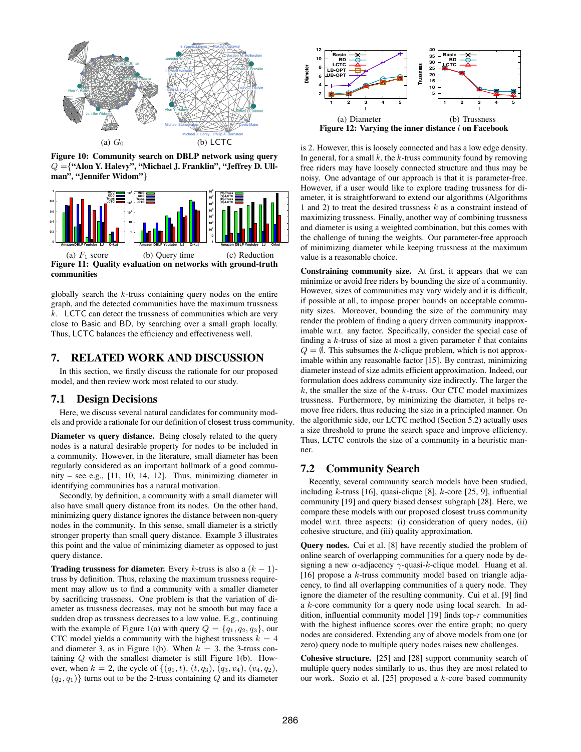

Figure 10: Community search on DBLP network using query  $Q =$  {"Alon Y. Halevy", "Michael J. Franklin", "Jeffrey D. Ullman", "Jennifer Widom"}



globally search the  $k$ -truss containing query nodes on the entire graph, and the detected communities have the maximum trussness  $k$ . LCTC can detect the trussness of communities which are very close to Basic and BD, by searching over a small graph locally. Thus, LCTC balances the efficiency and effectiveness well.

# 7. RELATED WORK AND DISCUSSION

In this section, we firstly discuss the rationale for our proposed model, and then review work most related to our study.

## 7.1 Design Decisions

Here, we discuss several natural candidates for community models and provide a rationale for our definition of closest truss community.

Diameter vs query distance. Being closely related to the query nodes is a natural desirable property for nodes to be included in a community. However, in the literature, small diameter has been regularly considered as an important hallmark of a good community – see e.g., [11, 10, 14, 12]. Thus, minimizing diameter in identifying communities has a natural motivation.

Secondly, by definition, a community with a small diameter will also have small query distance from its nodes. On the other hand, minimizing query distance ignores the distance between non-query nodes in the community. In this sense, small diameter is a strictly stronger property than small query distance. Example 3 illustrates this point and the value of minimizing diameter as opposed to just query distance.

**Trading trussness for diameter.** Every k-truss is also a  $(k - 1)$ truss by definition. Thus, relaxing the maximum trussness requirement may allow us to find a community with a smaller diameter by sacrificing trussness. One problem is that the variation of diameter as trussness decreases, may not be smooth but may face a sudden drop as trussness decreases to a low value. E.g., continuing with the example of Figure 1(a) with query  $Q = \{q_1, q_2, q_3\}$ , our CTC model yields a community with the highest trussness  $k = 4$ and diameter 3, as in Figure 1(b). When  $k = 3$ , the 3-truss containing  $Q$  with the smallest diameter is still Figure 1(b). However, when  $k = 2$ , the cycle of  $\{(q_1, t), (t, q_3), (q_3, v_4), (v_4, q_2),$  $(q_2, q_1)$ } turns out to be the 2-truss containing Q and its diameter



is 2. However, this is loosely connected and has a low edge density. In general, for a small  $k$ , the  $k$ -truss community found by removing free riders may have loosely connected structure and thus may be noisy. One advantage of our approach is that it is parameter-free. However, if a user would like to explore trading trussness for diameter, it is straightforward to extend our algorithms (Algorithms 1 and 2) to treat the desired trussness  $k$  as a constraint instead of maximizing trussness. Finally, another way of combining trussness and diameter is using a weighted combination, but this comes with the challenge of tuning the weights. Our parameter-free approach of minimizing diameter while keeping trussness at the maximum value is a reasonable choice.

Constraining community size. At first, it appears that we can minimize or avoid free riders by bounding the size of a community. However, sizes of communities may vary widely and it is difficult, if possible at all, to impose proper bounds on acceptable community sizes. Moreover, bounding the size of the community may render the problem of finding a query driven community inapproximable w.r.t. any factor. Specifically, consider the special case of finding a k-truss of size at most a given parameter  $\ell$  that contains  $Q = \emptyset$ . This subsumes the k-clique problem, which is not approximable within any reasonable factor [15]. By contrast, minimizing diameter instead of size admits efficient approximation. Indeed, our formulation does address community size indirectly. The larger the  $k$ , the smaller the size of the  $k$ -truss. Our CTC model maximizes trussness. Furthermore, by minimizing the diameter, it helps remove free riders, thus reducing the size in a principled manner. On the algorithmic side, our LCTC method (Section 5.2) actually uses a size threshold to prune the search space and improve efficiency. Thus, LCTC controls the size of a community in a heuristic manner.

# 7.2 Community Search

Recently, several community search models have been studied, including k-truss [16], quasi-clique [8],  $k$ -core [25, 9], influential community [19] and query biased densest subgraph [28]. Here, we compare these models with our proposed closest truss community model w.r.t. three aspects: (i) consideration of query nodes, (ii) cohesive structure, and (iii) quality approximation.

**Query nodes.** Cui et al. [8] have recently studied the problem of online search of overlapping communities for a query node by designing a new  $\alpha$ -adjacency  $\gamma$ -quasi-k-clique model. Huang et al. [16] propose a  $k$ -truss community model based on triangle adjacency, to find all overlapping communities of a query node. They ignore the diameter of the resulting community. Cui et al. [9] find a k-core community for a query node using local search. In addition, influential community model [19] finds top- $r$  communities with the highest influence scores over the entire graph; no query nodes are considered. Extending any of above models from one (or zero) query node to multiple query nodes raises new challenges.

Cohesive structure. [25] and [28] support community search of multiple query nodes similarly to us, thus they are most related to our work. Sozio et al. [25] proposed a k-core based community